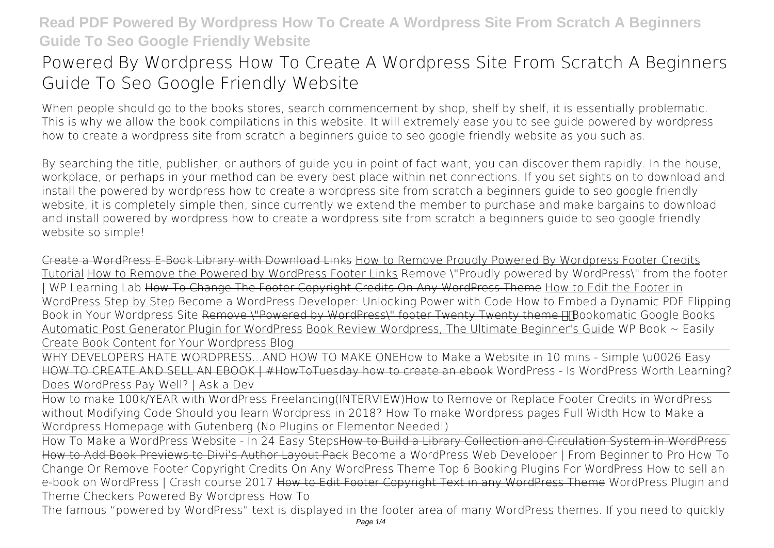# **Powered By Wordpress How To Create A Wordpress Site From Scratch A Beginners Guide To Seo Google Friendly Website**

When people should go to the books stores, search commencement by shop, shelf by shelf, it is essentially problematic. This is why we allow the book compilations in this website. It will extremely ease you to see guide **powered by wordpress how to create a wordpress site from scratch a beginners guide to seo google friendly website** as you such as.

By searching the title, publisher, or authors of guide you in point of fact want, you can discover them rapidly. In the house, workplace, or perhaps in your method can be every best place within net connections. If you set sights on to download and install the powered by wordpress how to create a wordpress site from scratch a beginners guide to seo google friendly website, it is completely simple then, since currently we extend the member to purchase and make bargains to download and install powered by wordpress how to create a wordpress site from scratch a beginners guide to seo google friendly website so simple!

Create a WordPress E-Book Library with Download Links How to Remove Proudly Powered By Wordpress Footer Credits Tutorial How to Remove the Powered by WordPress Footer Links Remove \"Proudly powered by WordPress\" from the footer WP Learning Lab How To Change The Footer Copyright Credits On Any WordPress Theme How to Edit the Footer in WordPress Step by Step *Become a WordPress Developer: Unlocking Power with Code How to Embed a Dynamic PDF Flipping* Book in Your Wordpress Site Remove \"Powered by WordPress\" footer Twenty Twenty theme HTBookomatic Google Books Automatic Post Generator Plugin for WordPress Book Review Wordpress, The Ultimate Beginner's Guide *WP Book ~ Easily Create Book Content for Your Wordpress Blog*

WHY DEVELOPERS HATE WORDPRESS...AND HOW TO MAKE ONE**How to Make a Website in 10 mins - Simple \u0026 Easy** HOW TO CREATE AND SELL AN EBOOK | #HowToTuesday how to create an ebook **WordPress - Is WordPress Worth Learning? Does WordPress Pay Well? | Ask a Dev**

How to make 100k/YEAR with WordPress Freelancing(INTERVIEW)*How to Remove or Replace Footer Credits in WordPress without Modifying Code Should you learn Wordpress in 2018? How To make Wordpress pages Full Width How to Make a Wordpress Homepage with Gutenberg (No Plugins or Elementor Needed!)*

How To Make a WordPress Website - In 24 Easy StepsHow to Build a Library Collection and Circulation System in WordPress How to Add Book Previews to Divi's Author Layout Pack Become a WordPress Web Developer | From Beginner to Pro *How To Change Or Remove Footer Copyright Credits On Any WordPress Theme* Top 6 Booking Plugins For WordPress *How to sell an e-book on WordPress | Crash course 2017* How to Edit Footer Copyright Text in any WordPress Theme *WordPress Plugin and Theme Checkers* Powered By Wordpress How To

The famous "powered by WordPress" text is displayed in the footer area of many WordPress themes. If you need to quickly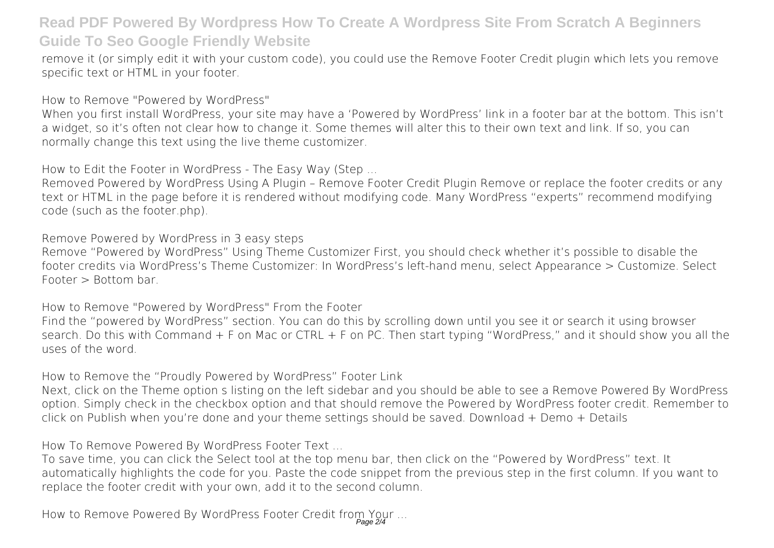remove it (or simply edit it with your custom code), you could use the Remove Footer Credit plugin which lets you remove specific text or HTML in your footer.

How to Remove "Powered by WordPress"

When you first install WordPress, your site may have a 'Powered by WordPress' link in a footer bar at the bottom. This isn't a widget, so it's often not clear how to change it. Some themes will alter this to their own text and link. If so, you can normally change this text using the live theme customizer.

How to Edit the Footer in WordPress - The Easy Way (Step ...

Removed Powered by WordPress Using A Plugin – Remove Footer Credit Plugin Remove or replace the footer credits or any text or HTML in the page before it is rendered without modifying code. Many WordPress "experts" recommend modifying code (such as the footer.php).

Remove Powered by WordPress in 3 easy steps

Remove "Powered by WordPress" Using Theme Customizer First, you should check whether it's possible to disable the footer credits via WordPress's Theme Customizer: In WordPress's left-hand menu, select Appearance > Customize. Select Footer > Bottom bar.

How to Remove "Powered by WordPress" From the Footer Find the "powered by WordPress" section. You can do this by scrolling down until you see it or search it using browser search. Do this with Command + F on Mac or CTRL + F on PC. Then start typing "WordPress," and it should show you all the uses of the word.

How to Remove the "Proudly Powered by WordPress" Footer Link

Next, click on the Theme option s listing on the left sidebar and you should be able to see a Remove Powered By WordPress option. Simply check in the checkbox option and that should remove the Powered by WordPress footer credit. Remember to click on Publish when you're done and your theme settings should be saved. Download + Demo + Details

How To Remove Powered By WordPress Footer Text ...

To save time, you can click the Select tool at the top menu bar, then click on the "Powered by WordPress" text. It automatically highlights the code for you. Paste the code snippet from the previous step in the first column. If you want to replace the footer credit with your own, add it to the second column.

How to Remove Powered By WordPress Footer Credit from Your ...<br>Page 2/4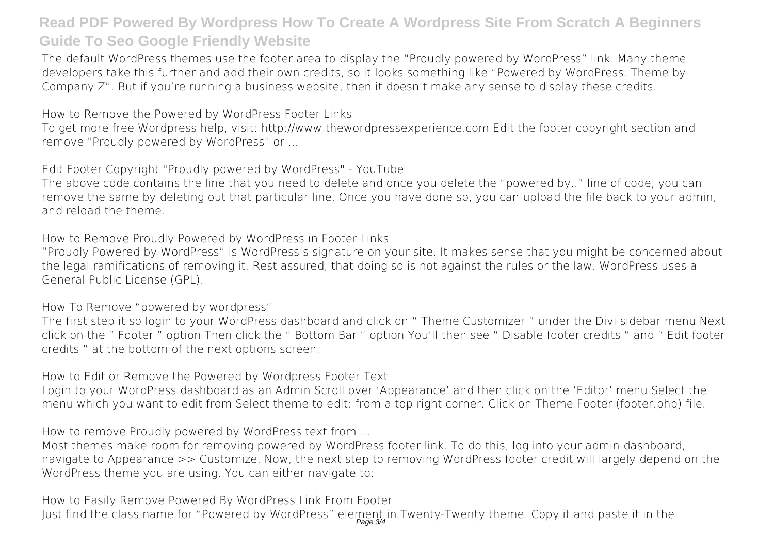The default WordPress themes use the footer area to display the "Proudly powered by WordPress" link. Many theme developers take this further and add their own credits, so it looks something like "Powered by WordPress. Theme by Company Z". But if you're running a business website, then it doesn't make any sense to display these credits.

How to Remove the Powered by WordPress Footer Links

To get more free Wordpress help, visit: http://www.thewordpressexperience.com Edit the footer copyright section and remove "Proudly powered by WordPress" or ...

Edit Footer Copyright "Proudly powered by WordPress" - YouTube

The above code contains the line that you need to delete and once you delete the "powered by.." line of code, you can remove the same by deleting out that particular line. Once you have done so, you can upload the file back to your admin, and reload the theme.

How to Remove Proudly Powered by WordPress in Footer Links

"Proudly Powered by WordPress" is WordPress's signature on your site. It makes sense that you might be concerned about the legal ramifications of removing it. Rest assured, that doing so is not against the rules or the law. WordPress uses a General Public License (GPL).

How To Remove "powered by wordpress"

The first step it so login to your WordPress dashboard and click on " Theme Customizer " under the Divi sidebar menu Next click on the " Footer " option Then click the " Bottom Bar " option You'll then see " Disable footer credits " and " Edit footer credits " at the bottom of the next options screen.

How to Edit or Remove the Powered by Wordpress Footer Text

Login to your WordPress dashboard as an Admin Scroll over 'Appearance' and then click on the 'Editor' menu Select the menu which you want to edit from Select theme to edit: from a top right corner. Click on Theme Footer (footer.php) file.

How to remove Proudly powered by WordPress text from ...

Most themes make room for removing powered by WordPress footer link. To do this, log into your admin dashboard, navigate to Appearance >> Customize. Now, the next step to removing WordPress footer credit will largely depend on the WordPress theme you are using. You can either navigate to:

How to Easily Remove Powered By WordPress Link From Footer Just find the class name for "Powered by WordPress" element in Twenty-Twenty theme. Copy it and paste it in the